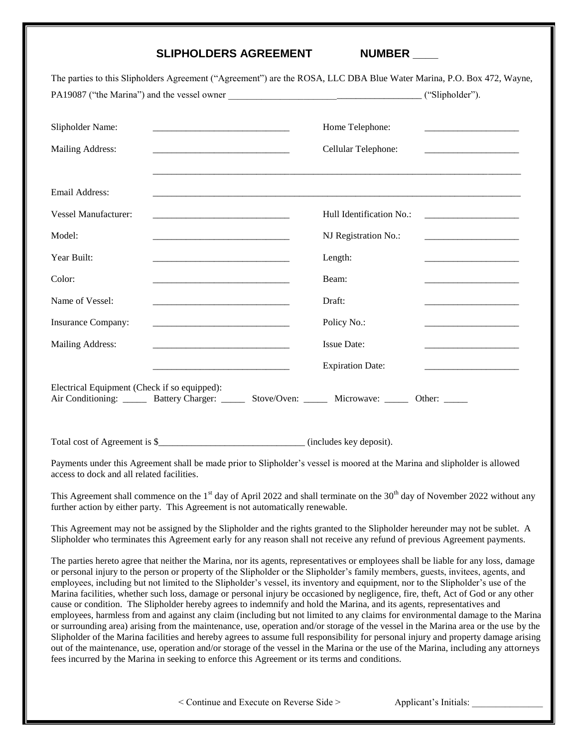## **SLIPHOLDERS AGREEMENT**

| <b>NUMBER</b> |  |
|---------------|--|
|               |  |

| The parties to this Slipholders Agreement ("Agreement") are the ROSA, LLC DBA Blue Water Marina, P.O. Box 472, Wayne,                                                                                                                                      |                                                                                |
|------------------------------------------------------------------------------------------------------------------------------------------------------------------------------------------------------------------------------------------------------------|--------------------------------------------------------------------------------|
| Home Telephone:<br>Cellular Telephone:                                                                                                                                                                                                                     |                                                                                |
|                                                                                                                                                                                                                                                            |                                                                                |
| Hull Identification No.:                                                                                                                                                                                                                                   | <u> 2000 - Jan James James Barnett, amerikansk politik (</u>                   |
| NJ Registration No.:                                                                                                                                                                                                                                       | the control of the control of the control of the control of the control of     |
| Length:                                                                                                                                                                                                                                                    |                                                                                |
| Beam:                                                                                                                                                                                                                                                      |                                                                                |
| Draft:                                                                                                                                                                                                                                                     | the contract of the contract of the contract of the contract of                |
| Policy No.:                                                                                                                                                                                                                                                |                                                                                |
| <b>Issue Date:</b>                                                                                                                                                                                                                                         |                                                                                |
| <b>Expiration Date:</b>                                                                                                                                                                                                                                    |                                                                                |
| Air Conditioning: ______ Battery Charger: ______ Stove/Oven: ______ Microwave: _____ Other: _____                                                                                                                                                          |                                                                                |
|                                                                                                                                                                                                                                                            |                                                                                |
| Payments under this Agreement shall be made prior to Slipholder's vessel is moored at the Marina and slipholder is allowed                                                                                                                                 |                                                                                |
| This Agreement shall commence on the $1st$ day of April 2022 and shall terminate on the 30 <sup>th</sup> day of November 2022 without any                                                                                                                  |                                                                                |
| This Agreement may not be assigned by the Slipholder and the rights granted to the Slipholder hereunder may not be sublet. A<br>Slipholder who terminates this Agreement early for any reason shall not receive any refund of previous Agreement payments. |                                                                                |
|                                                                                                                                                                                                                                                            | further action by either party. This Agreement is not automatically renewable. |

The parties hereto agree that neither the Marina, nor its agents, representatives or employees shall be liable for any loss, damage or personal injury to the person or property of the Slipholder or the Slipholder's family members, guests, invitees, agents, and employees, including but not limited to the Slipholder's vessel, its inventory and equipment, nor to the Slipholder's use of the Marina facilities, whether such loss, damage or personal injury be occasioned by negligence, fire, theft, Act of God or any other cause or condition. The Slipholder hereby agrees to indemnify and hold the Marina, and its agents, representatives and employees, harmless from and against any claim (including but not limited to any claims for environmental damage to the Marina or surrounding area) arising from the maintenance, use, operation and/or storage of the vessel in the Marina area or the use by the Slipholder of the Marina facilities and hereby agrees to assume full responsibility for personal injury and property damage arising out of the maintenance, use, operation and/or storage of the vessel in the Marina or the use of the Marina, including any attorneys fees incurred by the Marina in seeking to enforce this Agreement or its terms and conditions.

< Continue and Execute on Reverse Side > Applicant's Initials: